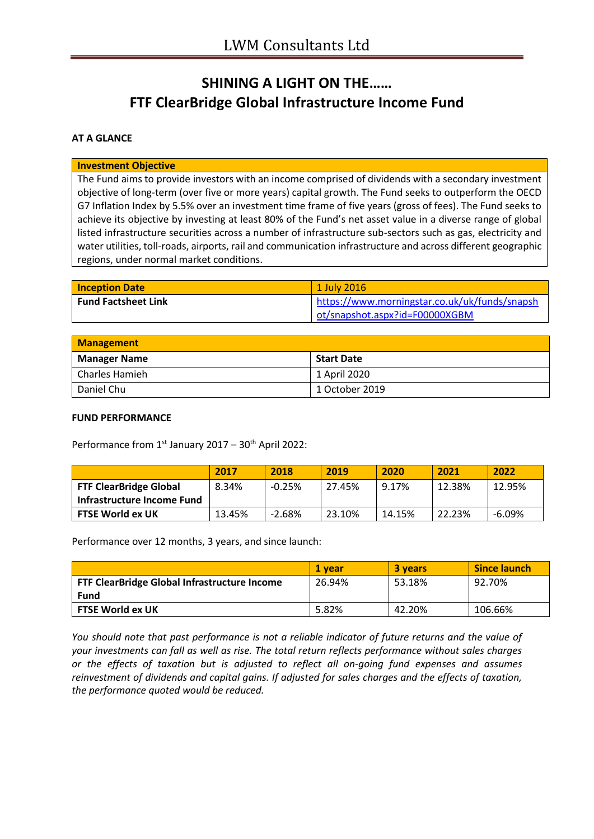# **SHINING A LIGHT ON THE…… FTF ClearBridge Global Infrastructure Income Fund**

### **AT A GLANCE**

#### **Investment Objective**

The Fund aims to provide investors with an income comprised of dividends with a secondary investment objective of long-term (over five or more years) capital growth. The Fund seeks to outperform the OECD G7 Inflation Index by 5.5% over an investment time frame of five years (gross of fees). The Fund seeks to achieve its objective by investing at least 80% of the Fund's net asset value in a diverse range of global listed infrastructure securities across a number of infrastructure sub-sectors such as gas, electricity and water utilities, toll-roads, airports, rail and communication infrastructure and across different geographic regions, under normal market conditions.

| <b>Inception Date</b>      | 1 July 2016                                   |
|----------------------------|-----------------------------------------------|
| <b>Fund Factsheet Link</b> | https://www.morningstar.co.uk/uk/funds/snapsh |
|                            | ot/snapshot.aspx?id=F00000XGBM                |

| Management     |                   |  |
|----------------|-------------------|--|
| Manager Name   | <b>Start Date</b> |  |
| Charles Hamieh | 1 April 2020      |  |
| Daniel Chu     | 1 October 2019    |  |

#### **FUND PERFORMANCE**

Performance from  $1<sup>st</sup>$  January 2017 – 30<sup>th</sup> April 2022:

|                               | 2017   | 2018     | 2019   | 2020   | 2021   | 2022     |
|-------------------------------|--------|----------|--------|--------|--------|----------|
| <b>FTF ClearBridge Global</b> | 8.34%  | $-0.25%$ | 27.45% | 9.17%  | 12.38% | 12.95%   |
| Infrastructure Income Fund    |        |          |        |        |        |          |
| <b>FTSE World ex UK</b>       | 13.45% | $-2.68%$ | 23.10% | 14.15% | 22.23% | $-6.09%$ |

Performance over 12 months, 3 years, and since launch:

|                                                     | 1 vear | 3 years | <b>Since launch</b> |
|-----------------------------------------------------|--------|---------|---------------------|
| <b>FTF ClearBridge Global Infrastructure Income</b> | 26.94% | 53.18%  | 92.70%              |
| Fund                                                |        |         |                     |
| <b>FTSE World ex UK</b>                             | 5.82%  | 42.20%  | 106.66%             |

*You should note that past performance is not a reliable indicator of future returns and the value of your investments can fall as well as rise. The total return reflects performance without sales charges or the effects of taxation but is adjusted to reflect all on-going fund expenses and assumes reinvestment of dividends and capital gains. If adjusted for sales charges and the effects of taxation, the performance quoted would be reduced.*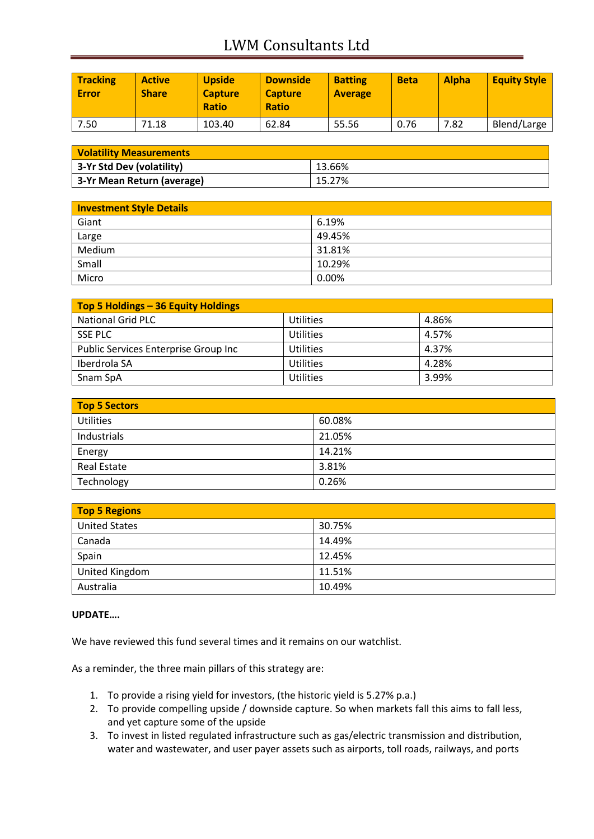# LWM Consultants Ltd

| <b>Tracking</b><br><b>Error</b> | <b>Active</b><br><b>Share</b> | <b>Upside</b><br><b>Capture</b><br><b>Ratio</b> | <b>Downside</b><br><b>Capture</b><br><b>Ratio</b> | <b>Batting</b><br><b>Average</b> | <b>Beta</b> | <b>Alpha</b> | <b>Equity Style</b> |
|---------------------------------|-------------------------------|-------------------------------------------------|---------------------------------------------------|----------------------------------|-------------|--------------|---------------------|
| 7.50                            | 71.18                         | 103.40                                          | 62.84                                             | 55.56                            | 0.76        | 7.82         | Blend/Large         |

| <b>Volatility Measurements</b> |        |  |
|--------------------------------|--------|--|
| 3-Yr Std Dev (volatility)      | 13.66% |  |
| 3-Yr Mean Return (average)     | 15.27% |  |

| <b>Investment Style Details</b> |        |  |
|---------------------------------|--------|--|
| Giant                           | 6.19%  |  |
| Large                           | 49.45% |  |
| Medium                          | 31.81% |  |
| Small                           | 10.29% |  |
| Micro                           | 0.00%  |  |

| Top 5 Holdings - 36 Equity Holdings  |                  |       |
|--------------------------------------|------------------|-------|
| National Grid PLC                    | <b>Utilities</b> | 4.86% |
| SSE PLC                              | <b>Utilities</b> | 4.57% |
| Public Services Enterprise Group Inc | Utilities        | 4.37% |
| Iberdrola SA                         | <b>Utilities</b> | 4.28% |
| Snam SpA                             | Utilities        | 3.99% |

| Top 5 Sectors      |        |  |
|--------------------|--------|--|
| <b>Utilities</b>   | 60.08% |  |
| Industrials        | 21.05% |  |
| Energy             | 14.21% |  |
| <b>Real Estate</b> | 3.81%  |  |
| Technology         | 0.26%  |  |

| <b>Top 5 Regions</b> |        |  |
|----------------------|--------|--|
| <b>United States</b> | 30.75% |  |
| Canada               | 14.49% |  |
| Spain                | 12.45% |  |
| United Kingdom       | 11.51% |  |
| Australia            | 10.49% |  |

### **UPDATE….**

We have reviewed this fund several times and it remains on our watchlist.

As a reminder, the three main pillars of this strategy are:

- 1. To provide a rising yield for investors, (the historic yield is 5.27% p.a.)
- 2. To provide compelling upside / downside capture. So when markets fall this aims to fall less, and yet capture some of the upside
- 3. To invest in listed regulated infrastructure such as gas/electric transmission and distribution, water and wastewater, and user payer assets such as airports, toll roads, railways, and ports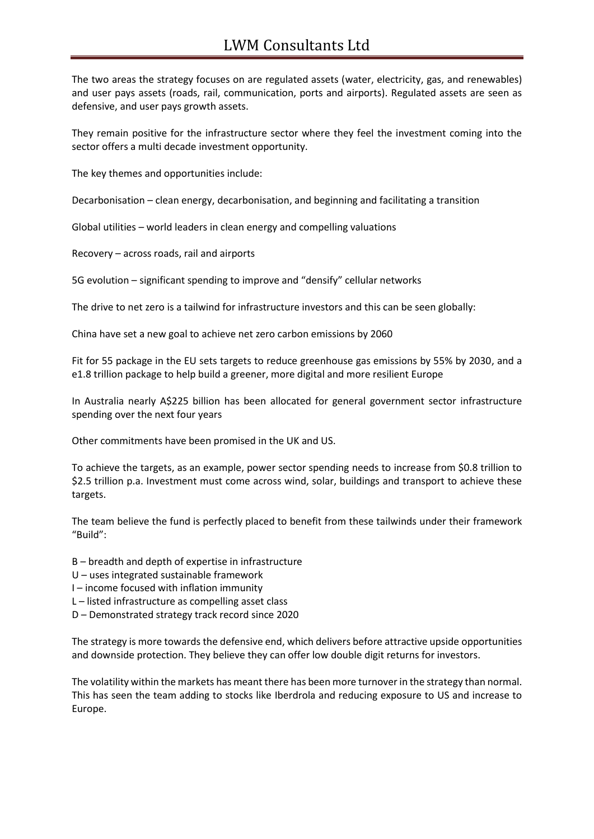## LWM Consultants Ltd

The two areas the strategy focuses on are regulated assets (water, electricity, gas, and renewables) and user pays assets (roads, rail, communication, ports and airports). Regulated assets are seen as defensive, and user pays growth assets.

They remain positive for the infrastructure sector where they feel the investment coming into the sector offers a multi decade investment opportunity.

The key themes and opportunities include:

Decarbonisation – clean energy, decarbonisation, and beginning and facilitating a transition

Global utilities – world leaders in clean energy and compelling valuations

Recovery – across roads, rail and airports

5G evolution – significant spending to improve and "densify" cellular networks

The drive to net zero is a tailwind for infrastructure investors and this can be seen globally:

China have set a new goal to achieve net zero carbon emissions by 2060

Fit for 55 package in the EU sets targets to reduce greenhouse gas emissions by 55% by 2030, and a e1.8 trillion package to help build a greener, more digital and more resilient Europe

In Australia nearly A\$225 billion has been allocated for general government sector infrastructure spending over the next four years

Other commitments have been promised in the UK and US.

To achieve the targets, as an example, power sector spending needs to increase from \$0.8 trillion to \$2.5 trillion p.a. Investment must come across wind, solar, buildings and transport to achieve these targets.

The team believe the fund is perfectly placed to benefit from these tailwinds under their framework "Build":

B – breadth and depth of expertise in infrastructure

U – uses integrated sustainable framework

- I income focused with inflation immunity
- L listed infrastructure as compelling asset class
- D Demonstrated strategy track record since 2020

The strategy is more towards the defensive end, which delivers before attractive upside opportunities and downside protection. They believe they can offer low double digit returns for investors.

The volatility within the markets has meant there has been more turnover in the strategy than normal. This has seen the team adding to stocks like Iberdrola and reducing exposure to US and increase to Europe.